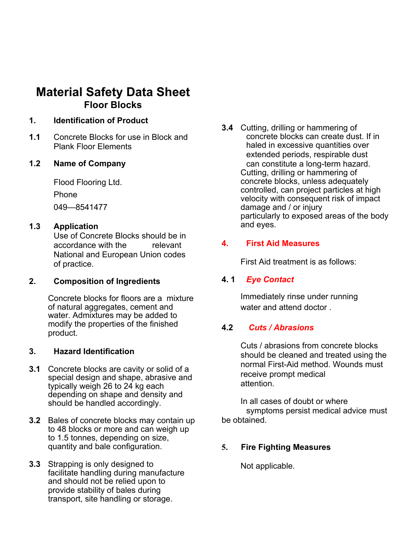# **Material Safety Data Sheet Floor Blocks**

#### **1. Identification of Product**

**1.1** Concrete Blocks for use in Block and Plank Floor Elements

#### **1.2 Name of Company**

Flood Flooring Ltd. Phone 049—8541477

#### **1.3 Application**

Use of Concrete Blocks should be in accordance with the relevant National and European Union codes of practice.

#### **2. Composition of Ingredients**

Concrete blocks for floors are a mixture of natural aggregates, cement and water. Admixtures may be added to modify the properties of the finished product.

#### **3. Hazard Identification**

- **3.1** Concrete blocks are cavity or solid of a special design and shape, abrasive and typically weigh 26 to 24 kg each depending on shape and density and should be handled accordingly.
- **3.2** Bales of concrete blocks may contain up to 48 blocks or more and can weigh up to 1.5 tonnes, depending on size, quantity and bale configuration.
- **3.3** Strapping is only designed to facilitate handling during manufacture and should not be relied upon to provide stability of bales during transport, site handling or storage.

**3.4** Cutting, drilling or hammering of concrete blocks can create dust. If in haled in excessive quantities over extended periods, respirable dust can constitute a long-term hazard. Cutting, drilling or hammering of concrete blocks, unless adequately controlled, can project particles at high velocity with consequent risk of impact damage and / or injury particularly to exposed areas of the body and eyes.

#### **4. First Aid Measures**

First Aid treatment is as follows:

## **4. 1** *Eye Contact*

Immediately rinse under running water and attend doctor

#### **4.2** *Cuts / Abrasions*

Cuts / abrasions from concrete blocks should be cleaned and treated using the normal First-Aid method. Wounds must receive prompt medical attention.

In all cases of doubt or where symptoms persist medical advice must be obtained.

#### **5. Fire Fighting Measures**

Not applicable.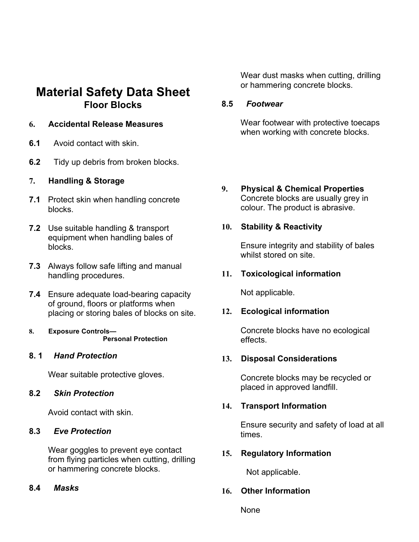## **Material Safety Data Sheet Floor Blocks**

### **6. Accidental Release Measures**

- **6.1** Avoid contact with skin.
- **6.2** Tidy up debris from broken blocks.

## **7. Handling & Storage**

- **7.1** Protect skin when handling concrete blocks.
- **7.2** Use suitable handling & transport equipment when handling bales of blocks.
- **7.3** Always follow safe lifting and manual handling procedures.
- **7.4** Ensure adequate load-bearing capacity of ground, floors or platforms when placing or storing bales of blocks on site.
- **8. Exposure Controls— Personal Protection**

#### **8. 1** *Hand Protection*

Wear suitable protective gloves.

#### **8.2** *Skin Protection*

Avoid contact with skin.

#### **8.3** *Eve Protection*

Wear goggles to prevent eye contact from flying particles when cutting, drilling or hammering concrete blocks.

#### **8.4** *Masks*

Wear dust masks when cutting, drilling or hammering concrete blocks.

#### **8.5** *Footwear*

Wear footwear with protective toecaps when working with concrete blocks.

**9. Physical & Chemical Properties**  Concrete blocks are usually grey in colour. The product is abrasive.

## **10. Stability & Reactivity**

Ensure integrity and stability of bales whilst stored on site.

## **11. Toxicological information**

Not applicable.

#### **12. Ecological information**

Concrete blocks have no ecological effects.

#### **13. Disposal Considerations**

Concrete blocks may be recycled or placed in approved landfill.

#### **14. Transport Information**

Ensure security and safety of load at all times.

#### **15. Regulatory Information**

Not applicable.

## **16. Other Information**

None